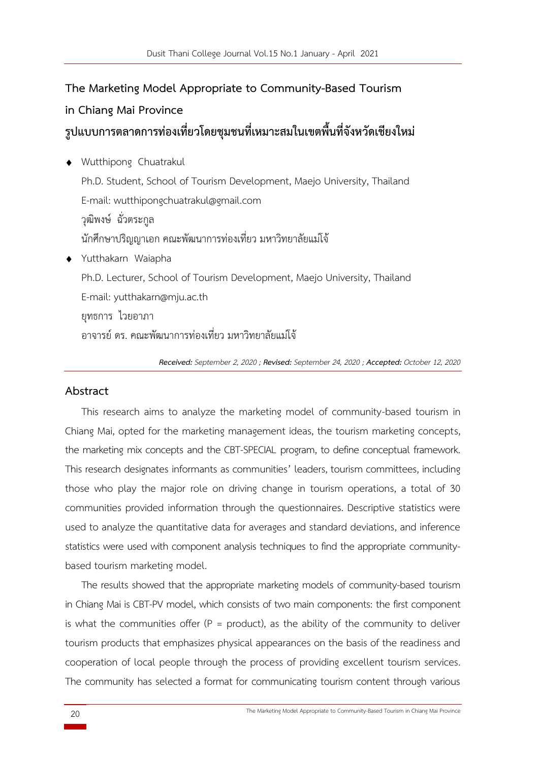# **The Marketing Model Appropriate to Community-Based Tourism in Chiang Mai Province รูปแบบการตลาดการท่องเที่ยวโดยชุมชนที่เหมาะสมในเขตพื้นที่จังหวัดเชียงใหม่**

- Wutthipong Chuatrakul Ph.D. Student, School of Tourism Development, Maejo University, Thailand E-mail: wutthipongchuatrakul@gmail.com วุฒิพงษ์ ฉั่วตระกูล นักศึกษาปริญญาเอก คณะพัฒนาการท่องเที่ยว มหาวิทยาลัยแม่โจ้ Yutthakarn Waiapha Ph.D. Lecturer, School of Tourism Development, Maejo University, Thailand E-mail: yutthakarn@mju.ac.th ยุทธการ ไวยอาภา
	- อาจารย์ดร. คณะพัฒนาการท่องเที่ยว มหาวิทยาลัยแม่โจ้

*Received: September 2, 2020 ; Revised: September 24, 2020 ; Accepted: October 12, 2020*

# **Abstract**

This research aims to analyze the marketing model of community-based tourism in Chiang Mai, opted for the marketing management ideas, the tourism marketing concepts, the marketing mix concepts and the CBT-SPECIAL program, to define conceptual framework. This research designates informants as communities' leaders, tourism committees, including those who play the major role on driving change in tourism operations, a total of 30 communities provided information through the questionnaires. Descriptive statistics were used to analyze the quantitative data for averages and standard deviations, and inference statistics were used with component analysis techniques to find the appropriate communitybased tourism marketing model.

The results showed that the appropriate marketing models of community-based tourism in Chiang Mai is CBT-PV model, which consists of two main components: the first component is what the communities offer ( $P =$  product), as the ability of the community to deliver tourism products that emphasizes physical appearances on the basis of the readiness and cooperation of local people through the process of providing excellent tourism services. The community has selected a format for communicating tourism content through various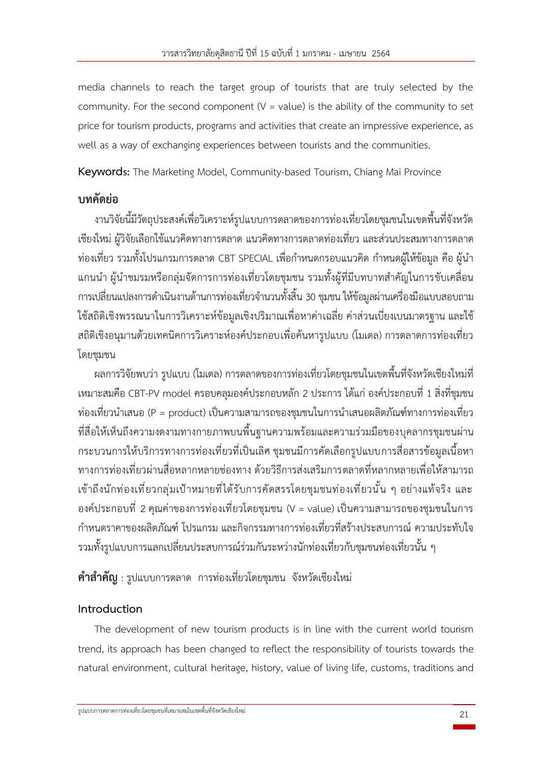media channels to reach the target group of tourists that are truly selected by the community. For the second component ( $V =$  value) is the ability of the community to set price for tourism products, programs and activities that create an impressive experience, as well as a way of exchanging experiences between tourists and the communities.

**Keywords:** The Marketing Model, Community-based Tourism, Chiang Mai Province

# **บทคัดย่อ**

งานวิจัยนี้มีวัตถุประสงค์เพื่อวิเคราะห์รูปแบบการตลาดของการท่องเที่ยวโดยชุมชนในเขตพื้นที่จังหวัด เชียงใหม่ ผู้วิจัยเลือกใช้แนวคิดทางการตลาด แนวคิดทางการตลาดท่องเที่ยว และส่วนประสมทางการตลาด ท่องเที่ยว รวมทั้งโปรแกรมการตลาด CBT SPECIAL เพื่อกำหนดกรอบแนวคิด กำหนดผู้ให้ข้อมูล คือ ผู้นำ แกนนำ ผู้นำชมรมหรือกลุ่มจัดการการท่องเที่ยวโดยชุมชน รวมทั้งผู้ที่มีบทบาทสำคัญในการขับเคลื่อน การเปลี่ยนแปลงการดำเนินงานด้านการท่องเที่ยวจำนวนทั้งสิ้น 30 ชุมชน ให้ข้อมูลผ่านเครื่องมือแบบสอบถาม ใช้สถิติเชิงพรรณนาในการวิเคราะห์ข้อมูลเชิงปริมาณเพื่อหาค่าเฉลี่ย ค่าส่วนเบี่ยงเบนมาตรฐาน และใช้ สถิติเชิงอนุมานด้วยเทคนิคการวิเคราะห์องค์ประกอบเพื่อค้นหารูปแบบ (โมเดล) การตลาดการท่องเที่ยว โดยชุมชน

้ ผลการวิจัยพบว่า รูปแบบ (โมเดล) การตลาดของการท่องเที่ยวโดยชุมชนในเขตพื้นที่จังหวัดเชียงใหม่ที่ เหมาะสมคือ CBT-PV model ครอบคลุมองค์ประกอบหลัก 2 ประการ ได้แก่ องค์ประกอบที่ 1 สิ่งที่ชุมชน ท่องเที่ยวนำเสนอ (P = product) เป็นความสามารถของชุมชนในการนำเสนอผลิตภัณฑ์ทางการท่องเที่ยว ที่สื่อให้เห็นถึงความงดงามทางกายภาพบนพื้นฐานความพร้อมและความร่วมมือของบุคลากรชุมชนผ่าน กระบวนการให้บริการทางการท่องเที่ยวที่เป็นเลิศ ชุมชนมีการคัดเลือกรูปแบบการสื่อสารข้อมูลเนื้อหา ทางการท่องเที่ยวผ่านสื่อหลากหลายช่องทาง ด้วยวิธีการส่งเสริมการตลาดที่หลากหลายเพื่อให้สามารถ เข้าถึงนักท่องเที่ยวกลุ่มเป้าหมายที่ได้รับการคัดสรรโดยชุมชนท่องเที่ยวนั้น ๆ อย่างแท้จริง และ องค์ประกอบที่ 2 คุณค่าของการท่องเที่ยวโดยชุมชน (V = value) เป็นความสามารถของชุมชนในการ กำหนดราคาของผลิตภัณฑ์ โปรแกรม และกิจกรรมทางการท่องเที่ยวที่สร้างประสบการณ์ความประทับใจ รวมทั้งรูปแบบการแลกเปลี่ยนประสบการณ์ร่วมกันระหว่างนักท่องเที่ยวกับชุมชนท่องเที่ยวนั้น ๆ

**คำสำคัญ** : รูปแบบการตลาด การท่องเที่ยวโดยชุมชน จังหวัดเชียงใหม่

# **Introduction**

The development of new tourism products is in line with the current world tourism trend, its approach has been changed to reflect the responsibility of tourists towards the natural environment, cultural heritage, history, value of living life, customs, traditions and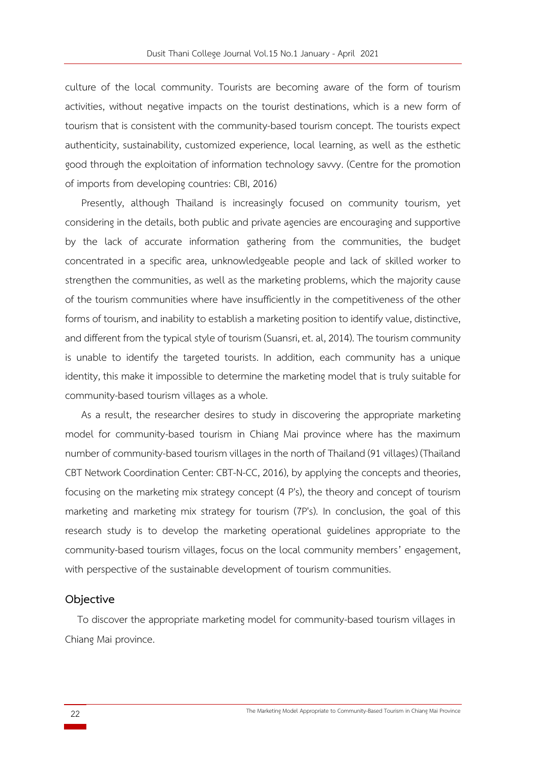culture of the local community. Tourists are becoming aware of the form of tourism activities, without negative impacts on the tourist destinations, which is a new form of tourism that is consistent with the community-based tourism concept. The tourists expect authenticity, sustainability, customized experience, local learning, as well as the esthetic good through the exploitation of information technology savvy. (Centre for the promotion of imports from developing countries: CBI, 2016)

Presently, although Thailand is increasingly focused on community tourism, yet considering in the details, both public and private agencies are encouraging and supportive by the lack of accurate information gathering from the communities, the budget concentrated in a specific area, unknowledgeable people and lack of skilled worker to strengthen the communities, as well as the marketing problems, which the majority cause of the tourism communities where have insufficiently in the competitiveness of the other forms of tourism, and inability to establish a marketing position to identify value, distinctive, and different from the typical style of tourism (Suansri, et. al,2014). The tourism community is unable to identify the targeted tourists. In addition, each community has a unique identity, this make it impossible to determine the marketing model that is truly suitable for community-based tourism villages as a whole.

As a result, the researcher desires to study in discovering the appropriate marketing model for community-based tourism in Chiang Mai province where has the maximum number of community-based tourism villages in the north of Thailand (91 villages) (Thailand CBT Network Coordination Center: CBT-N-CC, 2016), by applying the concepts and theories, focusing on the marketing mix strategy concept (4 P's), the theory and concept of tourism marketing and marketing mix strategy for tourism (7P's). In conclusion, the goal of this research study is to develop the marketing operational guidelines appropriate to the community-based tourism villages, focus on the local community members' engagement, with perspective of the sustainable development of tourism communities.

#### **Objective**

To discover the appropriate marketing model for community-based tourism villages in Chiang Mai province.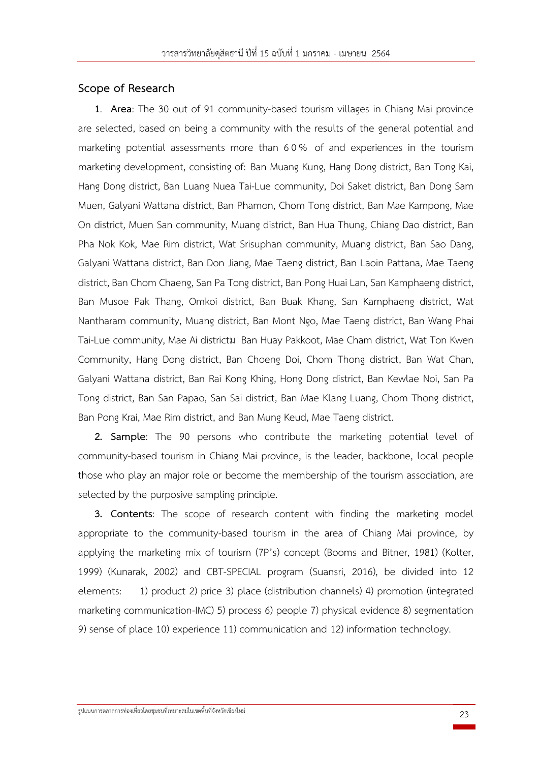# **Scope of Research**

**1**. **Area**: The 30 out of 91 community-based tourism villages in Chiang Mai province are selected, based on being a community with the results of the general potential and marketing potential assessments more than 6 0 % of and experiences in the tourism marketing development, consisting of: Ban Muang Kung, Hang Dong district, Ban Tong Kai, Hang Dong district, Ban Luang Nuea Tai-Lue community, Doi Saket district, Ban Dong Sam Muen, Galyani Wattana district, Ban Phamon, Chom Tong district, Ban Mae Kampong, Mae On district, Muen San community, Muang district, Ban Hua Thung, Chiang Dao district, Ban Pha Nok Kok, Mae Rim district, Wat Srisuphan community, Muang district, Ban Sao Dang, Galyani Wattana district, Ban Don Jiang, Mae Taeng district, Ban Laoin Pattana, Mae Taeng district, Ban Chom Chaeng, San Pa Tong district, Ban Pong Huai Lan, San Kamphaeng district, Ban Musoe Pak Thang, Omkoi district, Ban Buak Khang, San Kamphaeng district, Wat Nantharam community, Muang district, Ban Mont Ngo, Mae Taeng district, Ban Wang Phai Tai-Lue community, Mae Ai districtม Ban Huay Pakkoot, Mae Cham district, Wat Ton Kwen Community, Hang Dong district, Ban Choeng Doi, Chom Thong district, Ban Wat Chan, Galyani Wattana district, Ban Rai Kong Khing, Hong Dong district, Ban Kewlae Noi, San Pa Tong district, Ban San Papao, San Sai district, Ban Mae Klang Luang, Chom Thong district, Ban Pong Krai, Mae Rim district, and Ban Mung Keud, Mae Taeng district.

**2. Sample**: The 90 persons who contribute the marketing potential level of community-based tourism in Chiang Mai province, is the leader, backbone, local people those who play an major role or become the membership of the tourism association, are selected by the purposive sampling principle.

**3. Contents**: The scope of research content with finding the marketing model appropriate to the community-based tourism in the area of Chiang Mai province, by applying the marketing mix of tourism (7P's) concept (Booms and Bitner, 1981) (Kolter, 1999) (Kunarak, 2002) and CBT-SPECIAL program (Suansri, 2016), be divided into 12 elements: 1) product 2) price 3) place (distribution channels) 4) promotion (integrated marketing communication-IMC) 5) process 6) people 7) physical evidence 8) segmentation 9) sense of place 10) experience 11) communication and 12) information technology.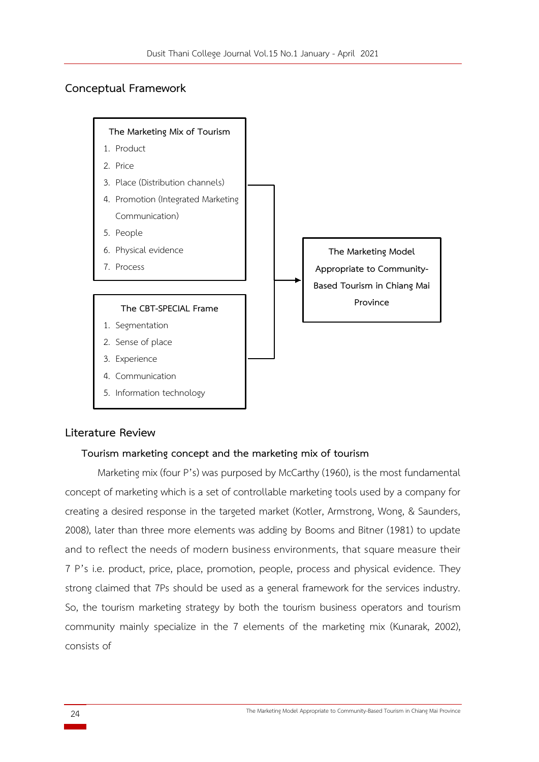# **Conceptual Framework**



# **Literature Review**

#### **Tourism marketing concept and the marketing mix of tourism**

Marketing mix (four P's) was purposed by McCarthy (1960), is the most fundamental concept of marketing which is a set of controllable marketing tools used by a company for creating a desired response in the targeted market (Kotler, Armstrong, Wong, & Saunders, 2008), later than three more elements was adding by Booms and Bitner (1981) to update and to reflect the needs of modern business environments, that square measure their 7 P's i.e. product, price, place, promotion, people, process and physical evidence. They strong claimed that 7Ps should be used as a general framework for the services industry. So, the tourism marketing strategy by both the tourism business operators and tourism community mainly specialize in the 7 elements of the marketing mix (Kunarak, 2002), consists of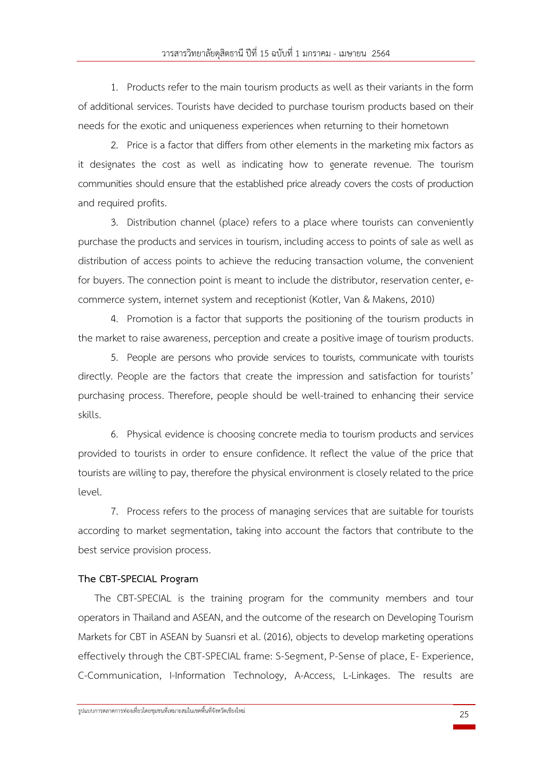1. Products refer to the main tourism products as well as their variants in the form of additional services. Tourists have decided to purchase tourism products based on their needs for the exotic and uniqueness experiences when returning to their hometown

2. Price is a factor that differs from other elements in the marketing mix factors as it designates the cost as well as indicating how to generate revenue. The tourism communities should ensure that the established price already covers the costs of production and required profits.

3. Distribution channel (place) refers to a place where tourists can conveniently purchase the products and services in tourism, including access to points of sale as well as distribution of access points to achieve the reducing transaction volume, the convenient for buyers. The connection point is meant to include the distributor, reservation center, ecommerce system, internet system and receptionist (Kotler, Van & Makens, 2010)

4. Promotion is a factor that supports the positioning of the tourism products in the market to raise awareness, perception and create a positive image of tourism products.

5. People are persons who provide services to tourists, communicate with tourists directly. People are the factors that create the impression and satisfaction for tourists' purchasing process. Therefore, people should be well-trained to enhancing their service skills.

6. Physical evidence is choosing concrete media to tourism products and services provided to tourists in order to ensure confidence. It reflect the value of the price that tourists are willing to pay, therefore the physical environment is closely related to the price level.

7. Process refers to the process of managing services that are suitable for tourists according to market segmentation, taking into account the factors that contribute to the best service provision process.

# **The CBT-SPECIAL Program**

The CBT-SPECIAL is the training program for the community members and tour operators in Thailand and ASEAN, and the outcome of the research on Developing Tourism Markets for CBT in ASEAN by Suansri et al. (2016), objects to develop marketing operations effectively through the CBT-SPECIAL frame: S-Segment, P-Sense of place, E- Experience, C-Communication, I-Information Technology, A-Access, L-Linkages. The results are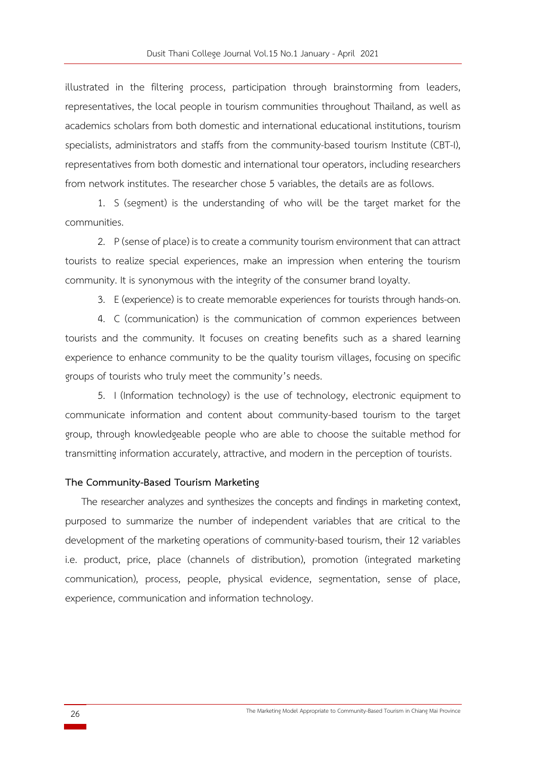illustrated in the filtering process, participation through brainstorming from leaders, representatives, the local people in tourism communities throughout Thailand, as well as academics scholars from both domestic and international educational institutions, tourism specialists, administrators and staffs from the community-based tourism Institute (CBT-I), representatives from both domestic and international tour operators, including researchers from network institutes. The researcher chose 5 variables, the details are as follows.

1. S (segment) is the understanding of who will be the target market for the communities.

2. P (sense of place) is to create a community tourism environment that can attract tourists to realize special experiences, make an impression when entering the tourism community. It is synonymous with the integrity of the consumer brand loyalty.

3. E (experience) is to create memorable experiences for tourists through hands-on.

4. C (communication) is the communication of common experiences between tourists and the community. It focuses on creating benefits such as a shared learning experience to enhance community to be the quality tourism villages, focusing on specific groups of tourists who truly meet the community's needs.

5. I (Information technology) is the use of technology, electronic equipment to communicate information and content about community-based tourism to the target group, through knowledgeable people who are able to choose the suitable method for transmitting information accurately, attractive, and modern in the perception of tourists.

#### **The Community-Based Tourism Marketing**

The researcher analyzes and synthesizes the concepts and findings in marketing context, purposed to summarize the number of independent variables that are critical to the development of the marketing operations of community-based tourism, their 12 variables i.e. product, price, place (channels of distribution), promotion (integrated marketing communication), process, people, physical evidence, segmentation, sense of place, experience, communication and information technology.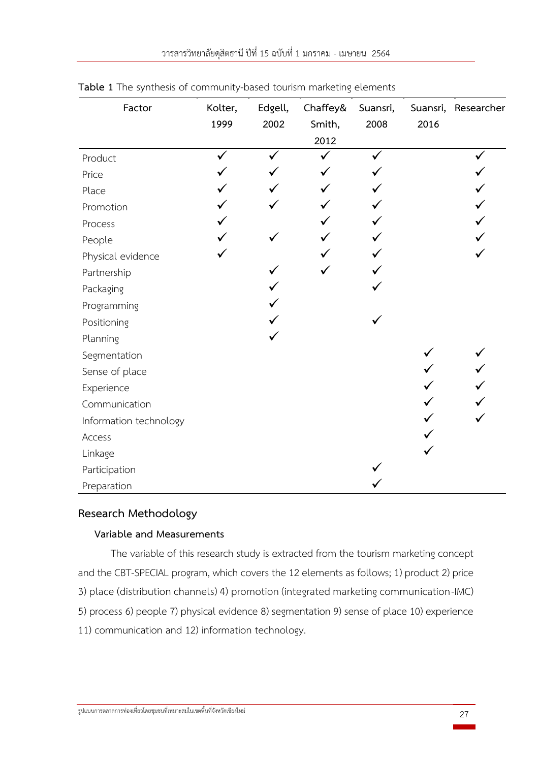| Factor                 | Kolter,      | Edgell, | Chaffey& | Suansri, |      | Suansri, Researcher |
|------------------------|--------------|---------|----------|----------|------|---------------------|
|                        | 1999         | 2002    | Smith,   | 2008     | 2016 |                     |
|                        |              |         | 2012     |          |      |                     |
| Product                | $\checkmark$ |         |          |          |      |                     |
| Price                  |              |         |          |          |      |                     |
| Place                  |              |         |          |          |      |                     |
| Promotion              |              |         |          |          |      |                     |
| Process                |              |         |          |          |      |                     |
| People                 |              |         |          |          |      |                     |
| Physical evidence      |              |         |          |          |      |                     |
| Partnership            |              |         |          |          |      |                     |
| Packaging              |              |         |          |          |      |                     |
| Programming            |              |         |          |          |      |                     |
| Positioning            |              |         |          |          |      |                     |
| Planning               |              |         |          |          |      |                     |
| Segmentation           |              |         |          |          |      |                     |
| Sense of place         |              |         |          |          |      |                     |
| Experience             |              |         |          |          |      |                     |
| Communication          |              |         |          |          |      |                     |
| Information technology |              |         |          |          |      |                     |
| Access                 |              |         |          |          |      |                     |
| Linkage                |              |         |          |          |      |                     |
| Participation          |              |         |          |          |      |                     |
| Preparation            |              |         |          |          |      |                     |

# **Table 1** The synthesis of community-based tourism marketing elements

# **Research Methodology**

# **Variable and Measurements**

The variable of this research study is extracted from the tourism marketing concept and the CBT-SPECIAL program, which covers the 12 elements as follows; 1) product 2) price 3) place (distribution channels) 4) promotion (integrated marketing communication-IMC) 5) process 6) people 7) physical evidence 8) segmentation 9) sense of place 10) experience 11) communication and 12) information technology.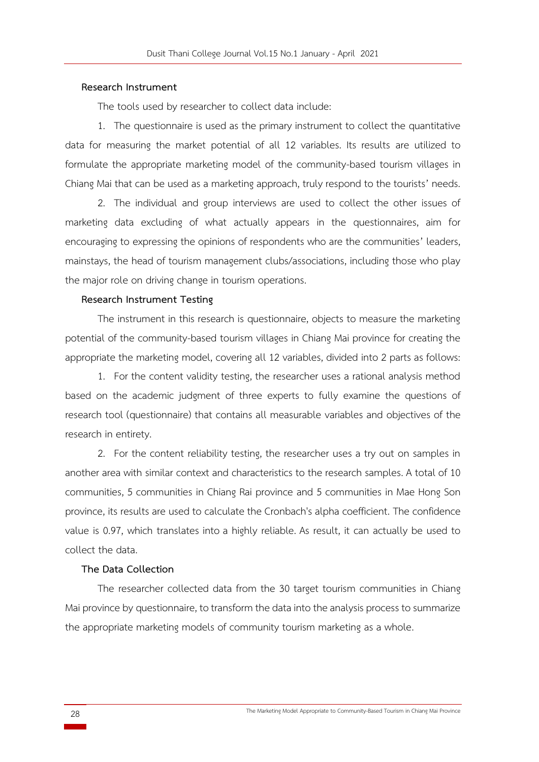#### **Research Instrument**

The tools used by researcher to collect data include:

1. The questionnaire is used as the primary instrument to collect the quantitative data for measuring the market potential of all 12 variables. Its results are utilized to formulate the appropriate marketing model of the community-based tourism villages in Chiang Mai that can be used as a marketing approach, truly respond to the tourists' needs.

2. The individual and group interviews are used to collect the other issues of marketing data excluding of what actually appears in the questionnaires, aim for encouraging to expressing the opinions of respondents who are the communities' leaders, mainstays, the head of tourism management clubs/associations, including those who play the major role on driving change in tourism operations.

#### **Research Instrument Testing**

The instrument in this research is questionnaire, objects to measure the marketing potential of the community-based tourism villages in Chiang Mai province for creating the appropriate the marketing model, covering all 12 variables, divided into 2 parts as follows:

1. For the content validity testing, the researcher uses a rational analysis method based on the academic judgment of three experts to fully examine the questions of research tool (questionnaire) that contains all measurable variables and objectives of the research in entirety.

2. For the content reliability testing, the researcher uses a try out on samples in another area with similar context and characteristics to the research samples. A total of 10 communities, 5 communities in Chiang Rai province and 5 communities in Mae Hong Son province, its results are used to calculate the Cronbach's alpha coefficient. The confidence value is 0.97, which translates into a highly reliable. As result, it can actually be used to collect the data.

#### **The Data Collection**

The researcher collected data from the 30 target tourism communities in Chiang Mai province by questionnaire, to transform the data into the analysis process to summarize the appropriate marketing models of community tourism marketing as a whole.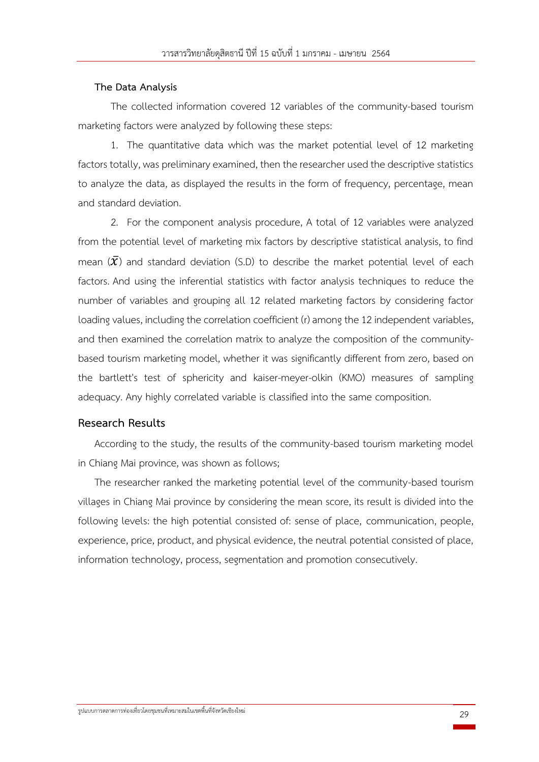#### **The Data Analysis**

The collected information covered 12 variables of the community-based tourism marketing factors were analyzed by following these steps:

1. The quantitative data which was the market potential level of 12 marketing factors totally, was preliminary examined, then the researcher used the descriptive statistics to analyze the data, as displayed the results in the form of frequency, percentage, mean and standard deviation.

2. For the component analysis procedure, A total of 12 variables were analyzed from the potential level of marketing mix factors by descriptive statistical analysis, to find mean  $(\bar{X})$  and standard deviation (S.D) to describe the market potential level of each factors. And using the inferential statistics with factor analysis techniques to reduce the number of variables and grouping all 12 related marketing factors by considering factor loading values, including the correlation coefficient (r) among the 12 independent variables, and then examined the correlation matrix to analyze the composition of the communitybased tourism marketing model, whether it was significantly different from zero, based on the bartlett's test of sphericity and kaiser-meyer-olkin (KMO) measures of sampling adequacy. Any highly correlated variable is classified into the same composition.

### **Research Results**

According to the study, the results of the community-based tourism marketing model in Chiang Mai province, was shown as follows;

The researcher ranked the marketing potential level of the community-based tourism villages in Chiang Mai province by considering the mean score, its result is divided into the following levels: the high potential consisted of: sense of place, communication, people, experience, price, product, and physical evidence, the neutral potential consisted of place, information technology, process, segmentation and promotion consecutively.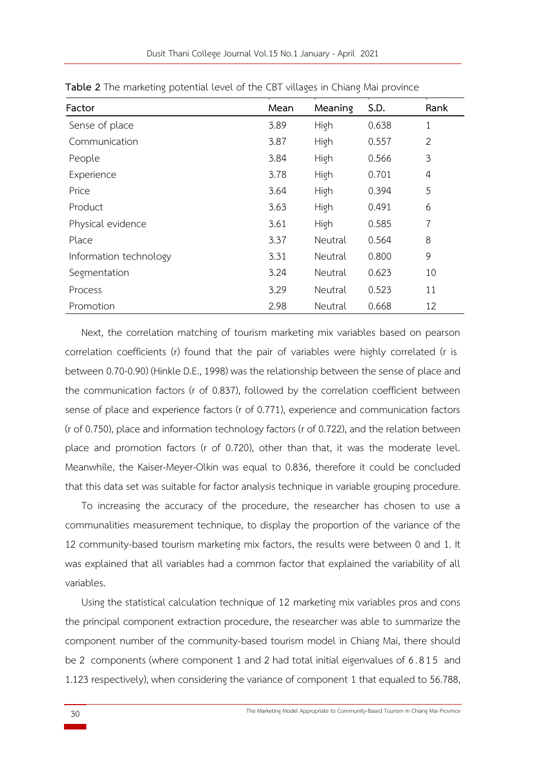| Factor                 | Mean | Meaning | S.D.  | Rank           |
|------------------------|------|---------|-------|----------------|
| Sense of place         | 3.89 | High    | 0.638 | 1              |
| Communication          | 3.87 | High    | 0.557 | $\overline{2}$ |
| People                 | 3.84 | High    | 0.566 | 3              |
| Experience             | 3.78 | High    | 0.701 | 4              |
| Price                  | 3.64 | High    | 0.394 | 5              |
| Product                | 3.63 | High    | 0.491 | 6              |
| Physical evidence      | 3.61 | High    | 0.585 | 7              |
| Place                  | 3.37 | Neutral | 0.564 | 8              |
| Information technology | 3.31 | Neutral | 0.800 | 9              |
| Segmentation           | 3.24 | Neutral | 0.623 | 10             |
| Process                | 3.29 | Neutral | 0.523 | 11             |
| Promotion              | 2.98 | Neutral | 0.668 | 12             |

**Table 2** The marketing potential level of the CBT villages in Chiang Mai province

Next, the correlation matching of tourism marketing mix variables based on pearson correlation coefficients (r) found that the pair of variables were highly correlated (r is between 0.70-0.90) (Hinkle D.E., 1998) was the relationship between the sense of place and the communication factors (r of 0.837), followed by the correlation coefficient between sense of place and experience factors (r of 0.771), experience and communication factors (r of 0.750), place and information technology factors (r of 0.722), and the relation between place and promotion factors (r of 0.720), other than that, it was the moderate level. Meanwhile, the Kaiser-Meyer-Olkin was equal to 0.836, therefore it could be concluded that this data set was suitable for factor analysis technique in variable grouping procedure.

To increasing the accuracy of the procedure, the researcher has chosen to use a communalities measurement technique, to display the proportion of the variance of the 12 community-based tourism marketing mix factors, the results were between 0 and 1. It was explained that all variables had a common factor that explained the variability of all variables.

Using the statistical calculation technique of 12 marketing mix variables pros and cons the principal component extraction procedure, the researcher was able to summarize the component number of the community-based tourism model in Chiang Mai, there should be 2 components (where component 1 and 2 had total initial eigenvalues of 6. 815 and 1.123 respectively), when considering the variance of component 1 that equaled to 56.788,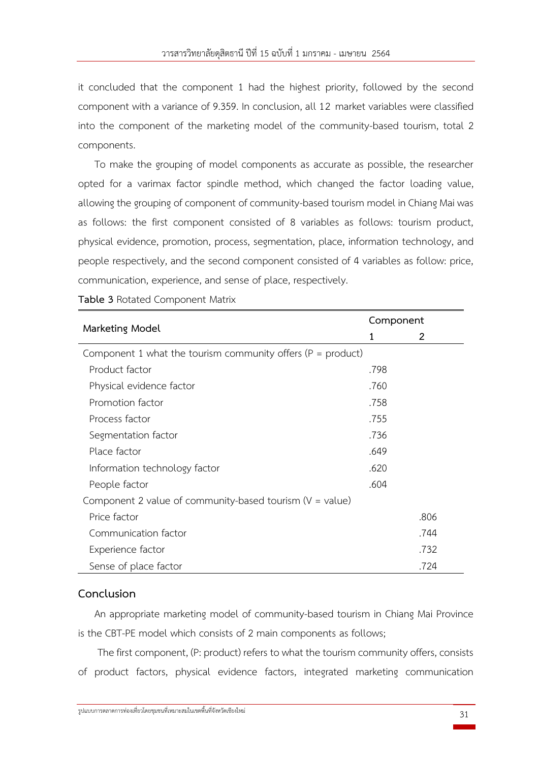it concluded that the component 1 had the highest priority, followed by the second component with a variance of 9.359. In conclusion, all 12 market variables were classified into the component of the marketing model of the community-based tourism, total 2 components.

To make the grouping of model components as accurate as possible, the researcher opted for a varimax factor spindle method, which changed the factor loading value, allowing the grouping of component of community-based tourism model in Chiang Mai was as follows: the first component consisted of 8 variables as follows: tourism product, physical evidence, promotion, process, segmentation, place, information technology, and people respectively, and the second component consisted of 4 variables as follow: price, communication, experience, and sense of place, respectively.

|                                                                 |      | Component |  |  |  |
|-----------------------------------------------------------------|------|-----------|--|--|--|
| Marketing Model                                                 | 1    | 2         |  |  |  |
| Component 1 what the tourism community offers ( $P = product$ ) |      |           |  |  |  |
| Product factor                                                  | .798 |           |  |  |  |
| Physical evidence factor                                        | .760 |           |  |  |  |
| Promotion factor                                                | .758 |           |  |  |  |
| Process factor                                                  | .755 |           |  |  |  |
| Segmentation factor                                             | .736 |           |  |  |  |
| Place factor                                                    | .649 |           |  |  |  |
| Information technology factor                                   | .620 |           |  |  |  |
| People factor                                                   | .604 |           |  |  |  |
| Component 2 value of community-based tourism $(V = value)$      |      |           |  |  |  |
| Price factor                                                    |      | .806      |  |  |  |
| Communication factor                                            |      | .744      |  |  |  |
| Experience factor                                               |      | .732      |  |  |  |
| Sense of place factor                                           |      | .724      |  |  |  |

**Table 3** Rotated Component Matrix

# **Conclusion**

An appropriate marketing model of community-based tourism in Chiang Mai Province is the CBT-PE model which consists of 2 main components as follows;

The first component, (P: product) refers to what the tourism community offers, consists of product factors, physical evidence factors, integrated marketing communication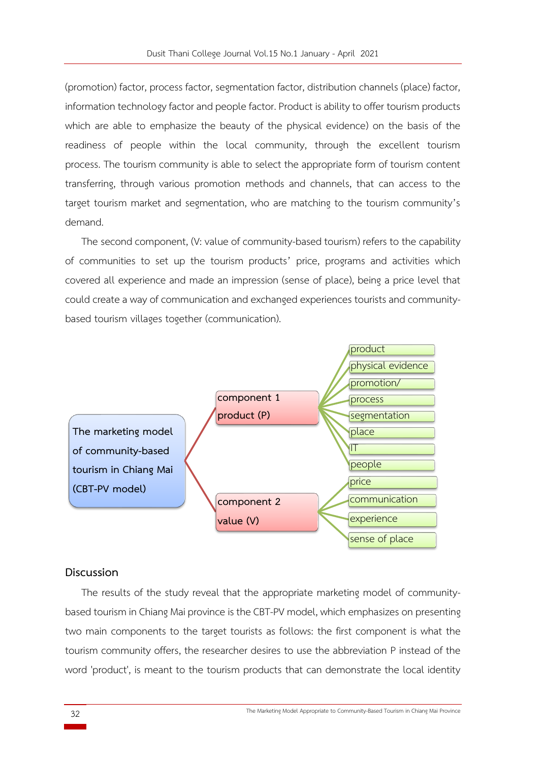(promotion) factor, process factor, segmentation factor, distribution channels (place) factor, information technology factor and people factor. Product is ability to offer tourism products which are able to emphasize the beauty of the physical evidence) on the basis of the readiness of people within the local community, through the excellent tourism process. The tourism community is able to select the appropriate form of tourism content transferring, through various promotion methods and channels, that can access to the target tourism market and segmentation, who are matching to the tourism community's demand.

The second component, (V: value of community-based tourism) refers to the capability of communities to set up the tourism products' price, programs and activities which covered all experience and made an impression (sense of place), being a price level that could create a way of communication and exchanged experiences tourists and communitybased tourism villages together (communication).



# **Discussion**

The results of the study reveal that the appropriate marketing model of communitybased tourism in Chiang Mai province is the CBT-PV model, which emphasizes on presenting two main components to the target tourists as follows: the first component is what the tourism community offers, the researcher desires to use the abbreviation P instead of the word 'product', is meant to the tourism products that can demonstrate the local identity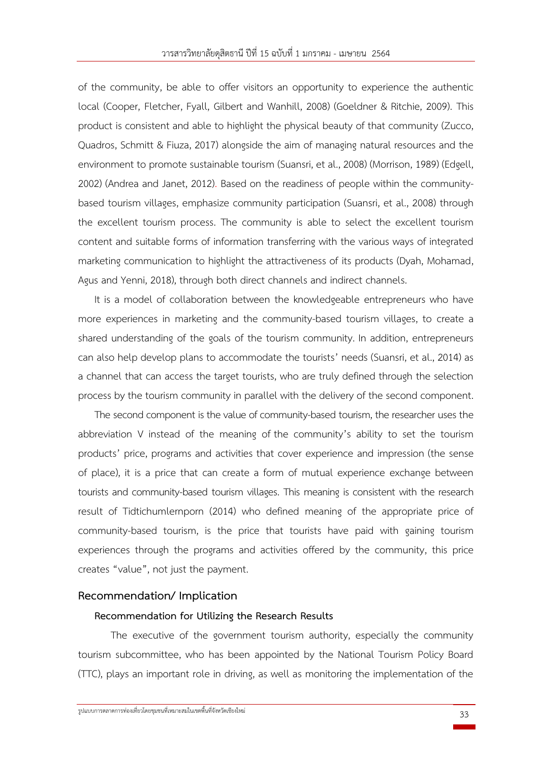of the community, be able to offer visitors an opportunity to experience the authentic local (Cooper, Fletcher, Fyall, Gilbert and Wanhill, 2008) (Goeldner & Ritchie, 2009). This product is consistent and able to highlight the physical beauty of that community (Zucco, Quadros, Schmitt & Fiuza, 2017) alongside the aim of managing natural resources and the environment to promote sustainable tourism (Suansri, et al., 2008) (Morrison, 1989) (Edgell, 2002) (Andrea and Janet, 2012). Based on the readiness of people within the communitybased tourism villages, emphasize community participation (Suansri, et al., 2008) through the excellent tourism process. The community is able to select the excellent tourism content and suitable forms of information transferring with the various ways of integrated marketing communication to highlight the attractiveness of its products (Dyah, Mohamad, Agus and Yenni, 2018), through both direct channels and indirect channels.

It is a model of collaboration between the knowledgeable entrepreneurs who have more experiences in marketing and the community-based tourism villages, to create a shared understanding of the goals of the tourism community. In addition, entrepreneurs can also help develop plans to accommodate the tourists' needs (Suansri, et al., 2014) as a channel that can access the target tourists, who are truly defined through the selection process by the tourism community in parallel with the delivery of the second component.

The second component is the value of community-based tourism, the researcher uses the abbreviation V instead of the meaning of the community's ability to set the tourism products' price, programs and activities that cover experience and impression (the sense of place), it is a price that can create a form of mutual experience exchange between tourists and community-based tourism villages. This meaning is consistent with the research result of Tidtichumlernporn (2014) who defined meaning of the appropriate price of community-based tourism, is the price that tourists have paid with gaining tourism experiences through the programs and activities offered by the community, this price creates "value", not just the payment.

# **Recommendation/ Implication**

#### **Recommendation for Utilizing the Research Results**

The executive of the government tourism authority, especially the community tourism subcommittee, who has been appointed by the National Tourism Policy Board (TTC), plays an important role in driving, as well as monitoring the implementation of the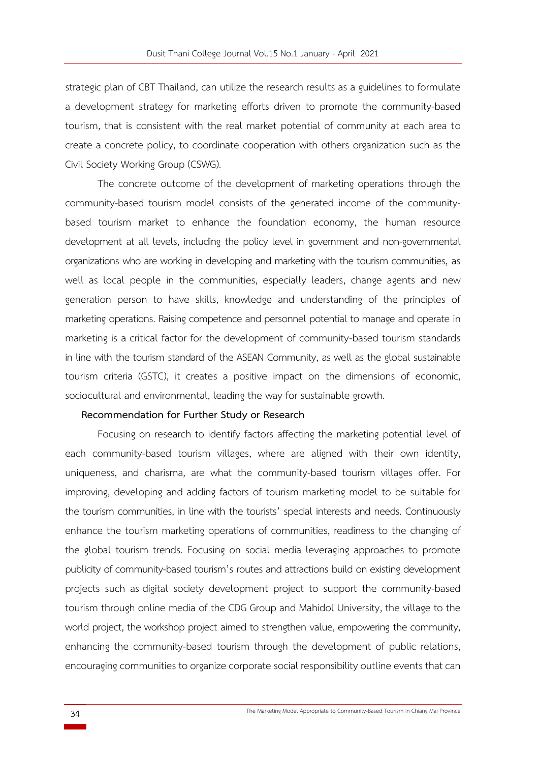strategic plan of CBT Thailand, can utilize the research results as a guidelines to formulate a development strategy for marketing efforts driven to promote the community-based tourism, that is consistent with the real market potential of community at each area to create a concrete policy, to coordinate cooperation with others organization such as the Civil Society Working Group (CSWG).

The concrete outcome of the development of marketing operations through the community-based tourism model consists of the generated income of the communitybased tourism market to enhance the foundation economy, the human resource development at all levels, including the policy level in government and non-governmental organizations who are working in developing and marketing with the tourism communities, as well as local people in the communities, especially leaders, change agents and new generation person to have skills, knowledge and understanding of the principles of marketing operations. Raising competence and personnel potential to manage and operate in marketing is a critical factor for the development of community-based tourism standards in line with the tourism standard of the ASEAN Community, as well as the global sustainable tourism criteria (GSTC), it creates a positive impact on the dimensions of economic, sociocultural and environmental, leading the way for sustainable growth.

#### **Recommendation for Further Study or Research**

Focusing on research to identify factors affecting the marketing potential level of each community-based tourism villages, where are aligned with their own identity, uniqueness, and charisma, are what the community-based tourism villages offer. For improving, developing and adding factors of tourism marketing model to be suitable for the tourism communities, in line with the tourists' special interests and needs. Continuously enhance the tourism marketing operations of communities, readiness to the changing of the global tourism trends. Focusing on social media leveraging approaches to promote publicity of community-based tourism's routes and attractions build on existing development projects such as digital society development project to support the community-based tourism through online media of the CDG Group and Mahidol University, the village to the world project, the workshop project aimed to strengthen value, empowering the community, enhancing the community-based tourism through the development of public relations, encouraging communities to organize corporate social responsibility outline events that can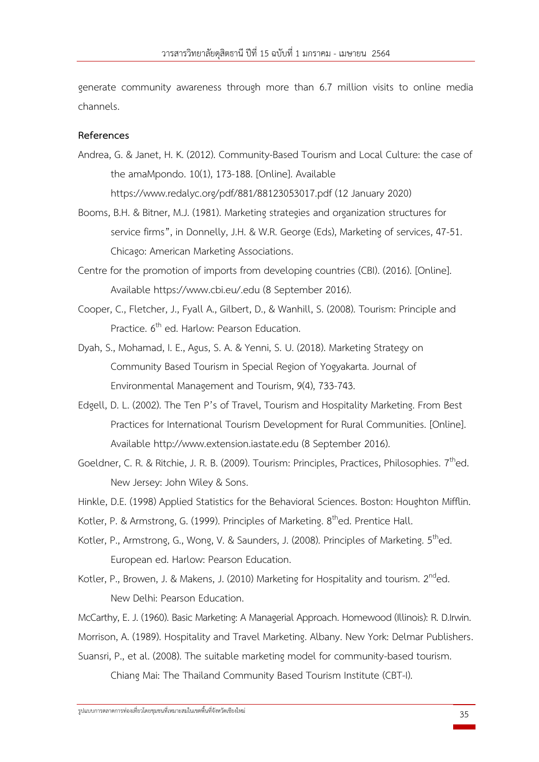generate community awareness through more than 6.7 million visits to online media channels.

#### **References**

- Andrea, G. & Janet, H. K. (2012). Community-Based Tourism and Local Culture: the case of the amaMpondo. 10(1), 173-188. [Online]. Available https://www.redalyc.org/pdf/881/88123053017.pdf (12 January 2020)
- Booms, B.H. & Bitner, M.J. (1981). Marketing strategies and organization structures for service firms", in Donnelly, J.H. & W.R. George (Eds), Marketing of services, 47-51. Chicago: American Marketing Associations.
- Centre for the promotion of imports from developing countries (CBI). (2016). [Online]. Available https://www.cbi.eu/.edu (8 September 2016).
- Cooper, C., Fletcher, J., Fyall A., Gilbert, D., & Wanhill, S. (2008). Tourism: Principle and Practice. 6<sup>th</sup> ed. Harlow: Pearson Education.
- Dyah, S., Mohamad, I. E., Agus, S. A. & Yenni, S. U. (2018). Marketing Strategy on Community Based Tourism in Special Region of Yogyakarta. Journal of Environmental Management and Tourism, 9(4), 733-743.
- Edgell, D. L. (2002). The Ten P's of Travel, Tourism and Hospitality Marketing. From Best Practices for International Tourism Development for Rural Communities. [Online]. Available http://www.extension.iastate.edu (8 September 2016).
- Goeldner, C. R. & Ritchie, J. R. B. (2009). Tourism: Principles, Practices, Philosophies.  $7<sup>th</sup>$ ed. New Jersey: John Wiley & Sons.
- Hinkle, D.E. (1998) Applied Statistics for the Behavioral Sciences. Boston: Houghton Mifflin.
- Kotler, P. & Armstrong, G. (1999). Principles of Marketing. 8<sup>th</sup>ed. Prentice Hall.
- Kotler, P., Armstrong, G., Wong, V. & Saunders, J. (2008). Principles of Marketing.  $5<sup>th</sup>$ ed. European ed. Harlow: Pearson Education.
- Kotler, P., Browen, J. & Makens, J. (2010) Marketing for Hospitality and tourism.  $2^{nd}$ ed. New Delhi: Pearson Education.
- McCarthy, E. J. (1960). Basic Marketing: A Managerial Approach. Homewood (Illinois): R. D.Irwin.

Morrison, A. (1989). Hospitality and Travel Marketing. Albany. New York: Delmar Publishers.

Suansri, P., et al. (2008). The suitable marketing model for community-based tourism.

Chiang Mai: The Thailand Community Based Tourism Institute (CBT-I).